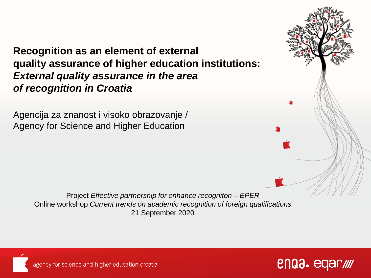#### **Recognition as an element of external quality assurance of higher education institutions:** *External quality assurance in the area of recognition in Croatia*

Agencija za znanost i visoko obrazovanje / Agency for Science and Higher Education







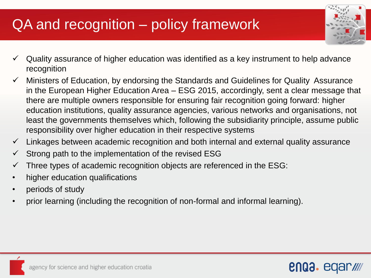# QA and recognition – policy framework



- $\checkmark$  Quality assurance of higher education was identified as a key instrument to help advance recognition
- $\checkmark$  Ministers of Education, by endorsing the Standards and Guidelines for Quality Assurance in the European Higher Education Area – ESG 2015, accordingly, sent a clear message that there are multiple owners responsible for ensuring fair recognition going forward: higher education institutions, quality assurance agencies, various networks and organisations, not least the governments themselves which, following the subsidiarity principle, assume public responsibility over higher education in their respective systems
- $\checkmark$  Linkages between academic recognition and both internal and external quality assurance
- Strong path to the implementation of the revised ESG
- $\checkmark$  Three types of academic recognition objects are referenced in the ESG:
- higher education qualifications
- periods of study
- prior learning (including the recognition of non-formal and informal learning).

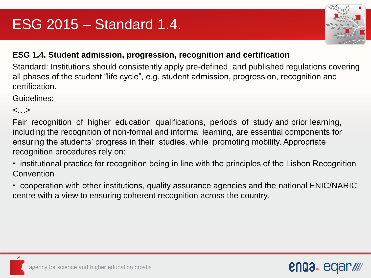

enaa. eqa

#### **ESG 1.4. Student admission, progression, recognition and certification**

Standard: Institutions should consistently apply pre-defined and published regulations covering all phases of the student "life cycle", e.g. student admission, progression, recognition and certification.

Guidelines:

 $\langle \cdot, \cdot \rangle$ 

Fair recognition of higher education qualifications, periods of study and prior learning, including the recognition of non-formal and informal learning, are essential components for ensuring the students' progress in their studies, while promoting mobility. Appropriate recognition procedures rely on:

- institutional practice for recognition being in line with the principles of the Lisbon Recognition **Convention**
- cooperation with other institutions, quality assurance agencies and the national ENIC/NARIC centre with a view to ensuring coherent recognition across the country.

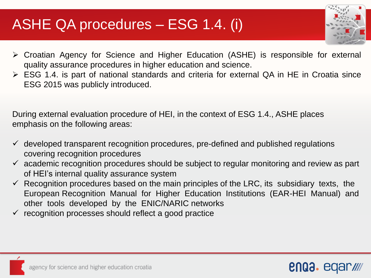#### ASHE QA procedures – ESG 1.4. (i)



- Croatian Agency for Science and Higher Education (ASHE) is responsible for external quality assurance procedures in higher education and science.
- ESG 1.4. is part of national standards and criteria for external QA in HE in Croatia since ESG 2015 was publicly introduced.

During external evaluation procedure of HEI, in the context of ESG 1.4., ASHE places emphasis on the following areas:

- $\checkmark$  developed transparent recognition procedures, pre-defined and published regulations covering recognition procedures
- $\checkmark$  academic recognition procedures should be subject to regular monitoring and review as part of HEI's internal quality assurance system
- $\checkmark$  Recognition procedures based on the main principles of the LRC, its subsidiary texts, the European Recognition Manual for Higher Education Institutions (EAR-HEI Manual) and other tools developed by the ENIC/NARIC networks
- recognition processes should reflect a good practice

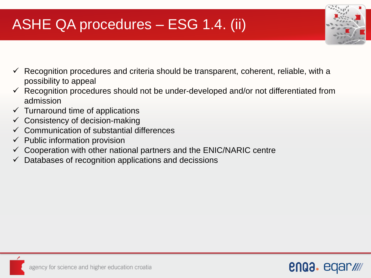### ASHE QA procedures – ESG 1.4. (ii)



- Recognition procedures and criteria should be transparent, coherent, reliable, with a possibility to appeal
- Recognition procedures should not be under-developed and/or not differentiated from admission
- $\checkmark$  Turnaround time of applications
- $\checkmark$  Consistency of decision-making
- $\checkmark$  Communication of substantial differences
- $\checkmark$  Public information provision
- $\checkmark$  Cooperation with other national partners and the ENIC/NARIC centre
- $\checkmark$  Databases of recognition applications and decissions

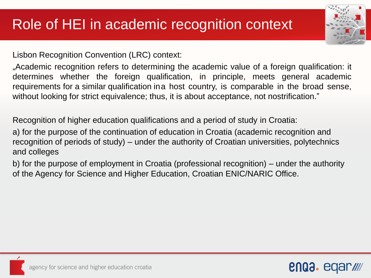Lisbon Recognition Convention (LRC) context:

...Academic recognition refers to determining the academic value of a foreign qualification: it determines whether the foreign qualification, in principle, meets general academic requirements for a similar qualification ina host country, is comparable in the broad sense, without looking for strict equivalence; thus, it is about acceptance, not nostrification."

Recognition of higher education qualifications and a period of study in Croatia:

a) for the purpose of the continuation of education in Croatia (academic recognition and recognition of periods of study) – under the authority of Croatian universities, polytechnics and colleges

b) for the purpose of employment in Croatia (professional recognition) – under the authority of the Agency for Science and Higher Education, Croatian ENIC/NARIC Office.



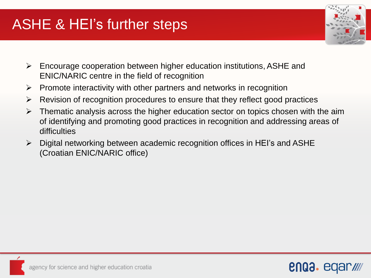### ASHE & HEI's further steps



- $\triangleright$  Encourage cooperation between higher education institutions, ASHE and ENIC/NARIC centre in the field of recognition
- $\triangleright$  Promote interactivity with other partners and networks in recognition
- $\triangleright$  Revision of recognition procedures to ensure that they reflect good practices
- $\triangleright$  Thematic analysis across the higher education sector on topics chosen with the aim of identifying and promoting good practices in recognition and addressing areas of difficulties
- $\triangleright$  Digital networking between academic recognition offices in HEI's and ASHE (Croatian ENIC/NARIC office)

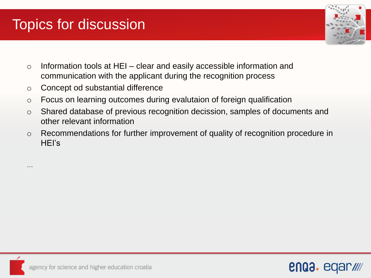# Topics for discussion

…



- $\circ$  Information tools at HEI clear and easily accessible information and communication with the applicant during the recognition process
- o Concept od substantial difference
- o Focus on learning outcomes during evalutaion of foreign qualification
- o Shared database of previous recognition decission, samples of documents and other relevant information
- o Recommendations for further improvement of quality of recognition procedure in HEI's